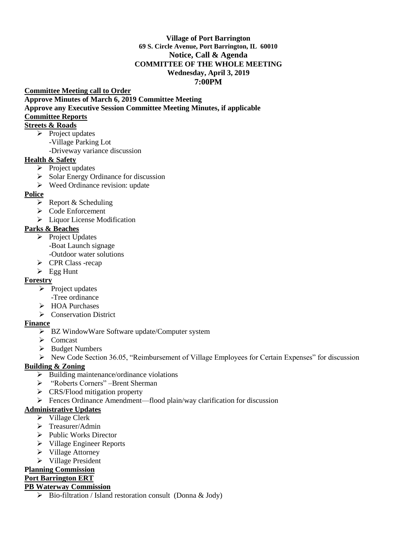#### **Village of Port Barrington 69 S. Circle Avenue, Port Barrington, IL 60010 Notice, Call & Agenda COMMITTEE OF THE WHOLE MEETING Wednesday, April 3, 2019 7:00PM**

#### **Committee Meeting call to Order Approve Minutes of March 6, 2019 Committee Meeting Approve any Executive Session Committee Meeting Minutes, if applicable Committee Reports**

#### **Streets & Roads**

- $\triangleright$  Project updates
	- -Village Parking Lot -Driveway variance discussion
- **Health & Safety**
	- $\triangleright$  Project updates
	- $\triangleright$  Solar Energy Ordinance for discussion
	- $\triangleright$  Weed Ordinance revision: update

### **Police**

- $\triangleright$  Report & Scheduling
- Code Enforcement
- **EXECUTE:** Liquor License Modification

## **Parks & Beaches**

- $\triangleright$  Project Updates
	- -Boat Launch signage
	- -Outdoor water solutions
- CPR Class -recap
- $\triangleright$  Egg Hunt

### **Forestry**

- $\triangleright$  Project updates
	- -Tree ordinance
- **► HOA Purchases**
- Conservation District

### **Finance**

- BZ WindowWare Software update/Computer system
- $\triangleright$  Comcast
- $\triangleright$  Budget Numbers
- $\triangleright$  New Code Section 36.05, "Reimbursement of Village Employees for Certain Expenses" for discussion

### **Building & Zoning**

- $\triangleright$  Building maintenance/ordinance violations
- "Roberts Corners" –Brent Sherman
- $\triangleright$  CRS/Flood mitigation property
- Fences Ordinance Amendment—flood plain/way clarification for discussion

### **Administrative Updates**

- $\triangleright$  Village Clerk
- $\triangleright$  Treasurer/Admin
- $\triangleright$  Public Works Director
- $\triangleright$  Village Engineer Reports
- $\triangleright$  Village Attorney
- $\triangleright$  Village President

# **Planning Commission**

# **Port Barrington ERT**

# **PB Waterway Commission**

 $\triangleright$  Bio-filtration / Island restoration consult (Donna & Jody)